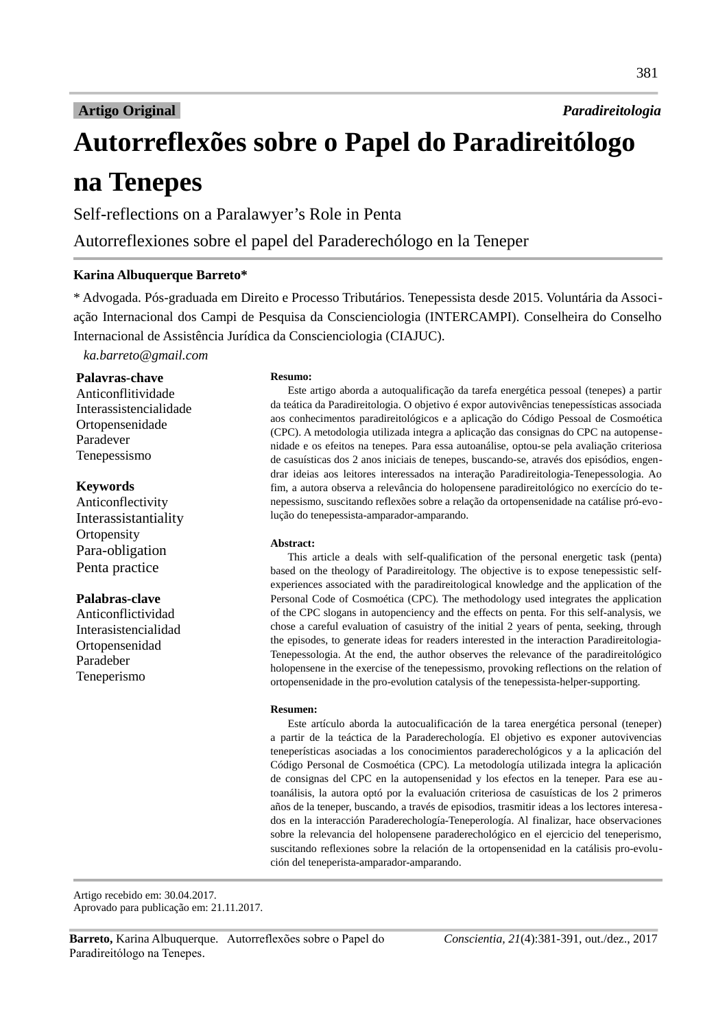# **Artigo Original**

Paradireitologia

# Autorreflexões sobre o Papel do Paradireitólogo na Tenepes

Self-reflections on a Paralawyer's Role in Penta

Autorreflexiones sobre el papel del Paraderechólogo en la Teneper

# Karina Albuquerque Barreto\*

\* Advogada. Pós-graduada em Direito e Processo Tributários. Tenepessista desde 2015. Voluntária da Associação Internacional dos Campi de Pesquisa da Conscienciologia (INTERCAMPI). Conselheira do Conselho Internacional de Assistência Jurídica da Conscienciologia (CIAJUC).

ka.barreto@qmail.com

## Palavras-chave

Anticonflitividade Interassistencialidade Ortopensenidade Paradever Tenepessismo

## **Kevwords**

Anticonflectivity Interassistantiality Ortopensity Para-obligation Penta practice

## Palabras-clave

Anticonflictividad Interasistencialidad Ortopensenidad Paradeber Teneperismo

#### **Resumo:**

Este artigo aborda a autoqualificação da tarefa energética pessoal (tenepes) a partir da teática da Paradireitologia. O objetivo é expor autovivências tenepessísticas associada aos conhecimentos paradireitológicos e a aplicação do Código Pessoal de Cosmoética (CPC). A metodologia utilizada integra a aplicação das consignas do CPC na autopensenidade e os efeitos na tenepes. Para essa autoanálise, optou-se pela avaliação criteriosa de casuísticas dos 2 anos iniciais de tenepes, buscando-se, através dos episódios, engendrar ideias aos leitores interessados na interação Paradireitologia-Tenepessologia. Ao fim, a autora observa a relevância do holopensene paradireitológico no exercício do tenepessismo, suscitando reflexões sobre a relação da ortopensenidade na catálise pró-evolução do tenepessista-amparador-amparando.

#### **Abstract:**

This article a deals with self-qualification of the personal energetic task (penta) based on the theology of Paradireitology. The objective is to expose tenepessistic selfexperiences associated with the paradireitological knowledge and the application of the Personal Code of Cosmoética (CPC). The methodology used integrates the application of the CPC slogans in autopenciency and the effects on penta. For this self-analysis, we chose a careful evaluation of casuistry of the initial 2 years of penta, seeking, through the episodes, to generate ideas for readers interested in the interaction Paradireitologia-Tenepessologia. At the end, the author observes the relevance of the paradireitológico holopensene in the exercise of the tenepessismo, provoking reflections on the relation of ortopensenidade in the pro-evolution catalysis of the tenepessista-helper-supporting.

#### Resumen:

Este artículo aborda la autocualificación de la tarea energética personal (teneper) a partir de la teáctica de la Paraderechología. El objetivo es exponer autovivencias teneperísticas asociadas a los conocimientos paraderechológicos y a la aplicación del Código Personal de Cosmoética (CPC). La metodología utilizada integra la aplicación de consignas del CPC en la autopensenidad y los efectos en la teneper. Para ese autoanálisis, la autora optó por la evaluación criteriosa de casuísticas de los 2 primeros años de la teneper, buscando, a través de episodios, trasmitir ideas a los lectores interesados en la interacción Paraderechología-Teneperología. Al finalizar, hace observaciones sobre la relevancia del holopensene paraderechológico en el ejercicio del teneperismo, suscitando reflexiones sobre la relación de la ortopensenidad en la catálisis pro-evolución del teneperista-amparador-amparando.

Artigo recebido em: 30.04.2017. Aprovado para publicação em: 21.11.2017.

Barreto, Karina Albuquerque. Autorreflexões sobre o Papel do Paradireitólogo na Tenepes.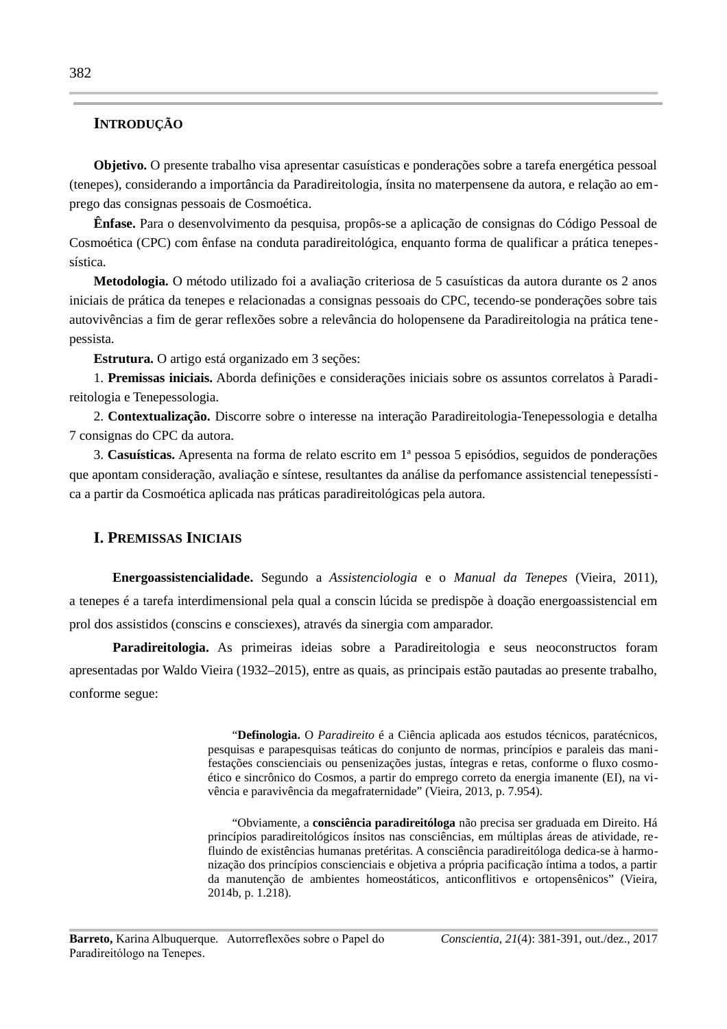# INTRODUÇÃO

Objetivo. O presente trabalho visa apresentar casuísticas e ponderações sobre a tarefa energética pessoal (tenepes), considerando a importância da Paradireitologia, ínsita no materpensene da autora, e relação ao emprego das consignas pessoais de Cosmoética.

Ênfase. Para o desenvolvimento da pesquisa, propôs-se a aplicação de consignas do Código Pessoal de Cosmoética (CPC) com ênfase na conduta paradireitológica, enquanto forma de qualificar a prática tenepessística.

Metodologia. O método utilizado foi a avaliação criteriosa de 5 casuísticas da autora durante os 2 anos iniciais de prática da tenepes e relacionadas a consignas pessoais do CPC, tecendo-se ponderações sobre tais autovivências a fim de gerar reflexões sobre a relevância do holopensene da Paradireitologia na prática tenepessista.

Estrutura. O artigo está organizado em 3 secões:

1. Premissas iniciais. Aborda definições e considerações iniciais sobre os assuntos correlatos à Paradireitologia e Tenepessologia.

2. Contextualização. Discorre sobre o interesse na interação Paradireitologia-Tenepessologia e detalha 7 consignas do CPC da autora.

3. Casuísticas. Apresenta na forma de relato escrito em 1ª pessoa 5 episódios, seguidos de ponderações que apontam consideração, avaliação e síntese, resultantes da análise da perfomance assistencial tenepessística a partir da Cosmoética aplicada nas práticas paradireitológicas pela autora.

# **I. PREMISSAS INICIAIS**

Energoassistencialidade. Segundo a Assistenciologia e o Manual da Tenepes (Vieira, 2011), a tenepes é a tarefa interdimensional pela qual a conscin lúcida se predispõe à doação energoassistencial em prol dos assistidos (conscins e consciexes), através da sinergia com amparador.

Paradireitologia. As primeiras ideias sobre a Paradireitologia e seus neoconstructos foram apresentadas por Waldo Vieira (1932-2015), entre as quais, as principais estão pautadas ao presente trabalho, conforme segue:

> "Definologia. O Paradireito é a Ciência aplicada aos estudos técnicos, paratécnicos, pesquisas e parapesquisas teáticas do conjunto de normas, princípios e paraleis das manifestações conscienciais ou pensenizações justas, íntegras e retas, conforme o fluxo cosmoético e sincrônico do Cosmos, a partir do emprego correto da energia imanente (EI), na vivência e paravivência da megafraternidade" (Vieira, 2013, p. 7.954).

> "Obviamente, a consciência paradireitóloga não precisa ser graduada em Direito. Há princípios paradireitológicos ínsitos nas consciências, em múltiplas áreas de atividade, refluindo de existências humanas pretéritas. A consciência paradireitóloga dedica-se à harmonização dos princípios conscienciais e objetiva a própria pacificação íntima a todos, a partir da manutenção de ambientes homeostáticos, anticonflitivos e ortopensênicos" (Vieira, 2014b, p. 1.218).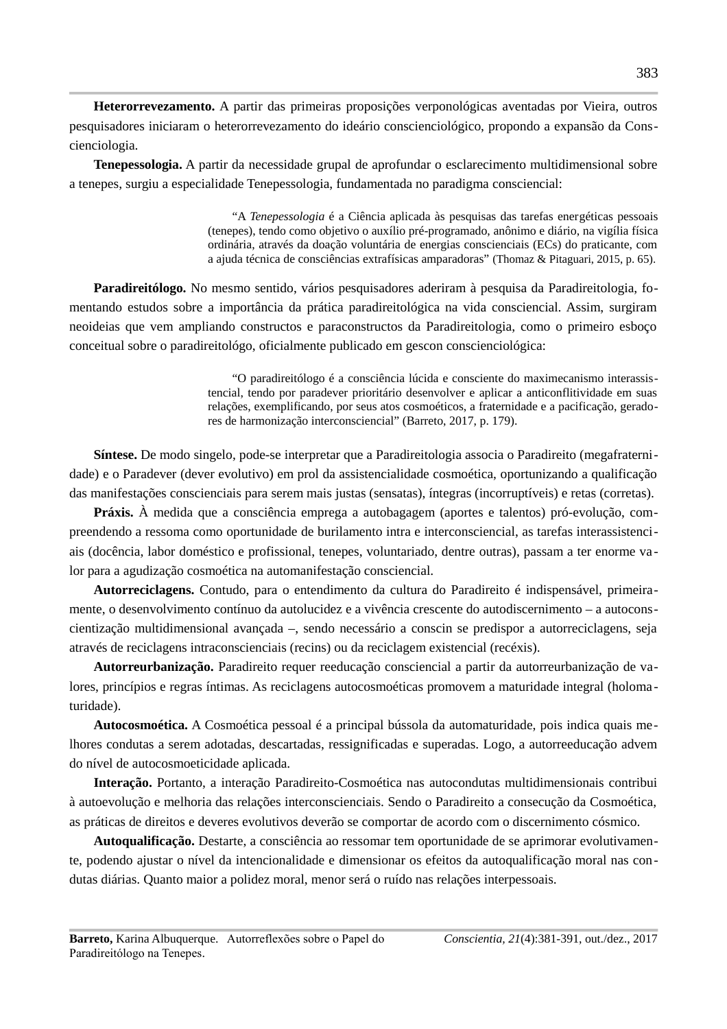Heterorrevezamento. A partir das primeiras proposições verponológicas aventadas por Vieira, outros pesquisadores iniciaram o heterorrevezamento do ideário conscienciológico, propondo a expansão da Conscienciologia.

**Tenepessologia.** A partir da necessidade grupal de aprofundar o esclarecimento multidimensional sobre a tenepes, surgiu a especialidade Tenepessologia, fundamentada no paradigma consciencial:

> "A Tenepessologia é a Ciência aplicada às pesquisas das tarefas energéticas pessoais (tenepes), tendo como objetivo o auxílio pré-programado, anônimo e diário, na vigília física ordinária, através da doação voluntária de energias conscienciais (ECs) do praticante, com a ajuda técnica de consciências extrafísicas amparadoras" (Thomaz & Pitaguari, 2015, p. 65).

Paradireitólogo. No mesmo sentido, vários pesquisadores aderiram à pesquisa da Paradireitologia, fomentando estudos sobre a importância da prática paradireitológica na vida consciencial. Assim, surgiram neoideias que vem ampliando constructos e paraconstructos da Paradireitologia, como o primeiro esboço conceitual sobre o paradireitológo, oficialmente publicado em gescon conscienciológica:

> "O paradireitólogo é a consciência lúcida e consciente do maximecanismo interassistencial, tendo por paradever prioritário desenvolver e aplicar a anticonflitividade em suas relações, exemplificando, por seus atos cosmoéticos, a fraternidade e a pacificação, geradores de harmonização interconsciencial" (Barreto, 2017, p. 179).

Síntese. De modo singelo, pode-se interpretar que a Paradireitologia associa o Paradireito (megafraternidade) e o Paradever (dever evolutivo) em prol da assistencialidade cosmoética, oportunizando a qualificação das manifestações conscienciais para serem mais justas (sensatas), íntegras (incorruptíveis) e retas (corretas),

**Práxis.** À medida que a consciência emprega a autobagagem (aportes e talentos) pró-evolução, compreendendo a ressoma como oportunidade de burilamento intra e interconsciencial, as tarefas interassistenciais (docência, labor doméstico e profissional, tenepes, voluntariado, dentre outras), passam a ter enorme valor para a agudização cosmoética na automanifestação consciencial.

Autorreciclagens. Contudo, para o entendimento da cultura do Paradireito é indispensável, primeiramente, o desenvolvimento contínuo da autolucidez e a vivência crescente do autodiscernimento – a autoconscientização multidimensional avançada -, sendo necessário a conscin se predispor a autorreciclagens, seja através de reciclagens intraconscienciais (recins) ou da reciclagem existencial (recéxis).

Autorreurbanização. Paradireito requer reeducação consciencial a partir da autorreurbanização de valores, princípios e regras íntimas. As reciclagens autocosmoéticas promovem a maturidade integral (holomaturidade).

Autocosmoética. A Cosmoética pessoal é a principal bússola da automaturidade, pois indica quais melhores condutas a serem adotadas, descartadas, ressignificadas e superadas. Logo, a autorreeducação advem do nível de autocosmoeticidade aplicada.

Interação. Portanto, a interação Paradireito-Cosmoética nas autocondutas multidimensionais contribui à autoevolução e melhoria das relações interconscienciais. Sendo o Paradireito a consecução da Cosmoética, as práticas de direitos e deveres evolutivos deverão se comportar de acordo com o discernimento cósmico.

Autoqualificação. Destarte, a consciência ao ressomar tem oportunidade de se aprimorar evolutivamente, podendo ajustar o nível da intencionalidade e dimensionar os efeitos da autoqualificação moral nas condutas diárias. Quanto maior a polidez moral, menor será o ruído nas relações interpessoais.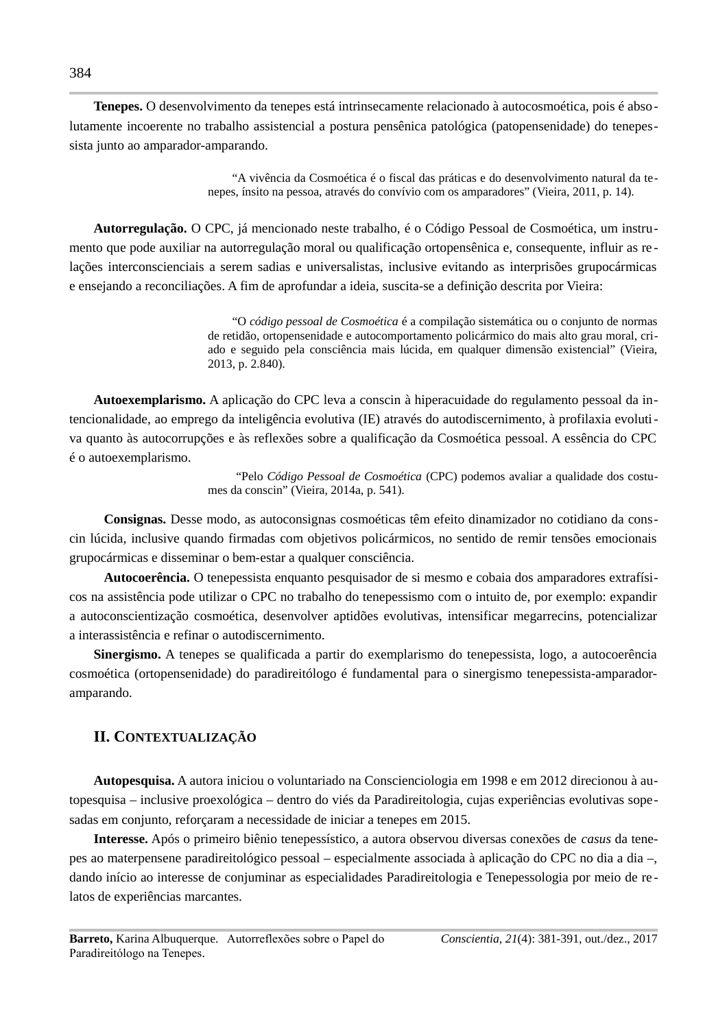**Tenepes.** O desenvolvimento da tenepes está intrinsecamente relacionado à autocosmoética, pois é absolutamente incoerente no trabalho assistencial a postura pensênica patológica (patopensenidade) do tenepessista junto ao amparador-amparando.

> "A vivência da Cosmoética é o fiscal das práticas e do desenvolvimento natural da tenepes, ínsito na pessoa, através do convívio com os amparadores" (Vieira, 2011, p. 14).

Autorregulação. O CPC, já mencionado neste trabalho, é o Código Pessoal de Cosmoética, um instrumento que pode auxiliar na autorregulação moral ou qualificação ortopensênica e, consequente, influir as relações interconscienciais a serem sadias e universalistas, inclusive evitando as interprisões grupocármicas e ensejando a reconciliações. A fim de aprofundar a ideia, suscita-se a definição descrita por Vieira:

> "O código pessoal de Cosmoética é a compilação sistemática ou o conjunto de normas de retidão, ortopensenidade e autocomportamento policármico do mais alto grau moral, criado e seguido pela consciência mais lúcida, em qualquer dimensão existencial" (Vieira, 2013, p. 2.840).

Autoexemplarismo. A aplicação do CPC leva a conscin à hiperacuidade do regulamento pessoal da intencionalidade, ao emprego da inteligência evolutiva (IE) através do autodiscernimento, à profilaxia evolutiva quanto às autocorrupções e às reflexões sobre a qualificação da Cosmoética pessoal. A essência do CPC é o autoexemplarismo.

> "Pelo Código Pessoal de Cosmoética (CPC) podemos avaliar a qualidade dos costumes da conscin" (Vieira, 2014a, p. 541).

Consignas. Desse modo, as autoconsignas cosmoéticas têm efeito dinamizador no cotidiano da conscin lúcida, inclusive quando firmadas com objetivos policármicos, no sentido de remir tensões emocionais grupocármicas e disseminar o bem-estar a qualquer consciência.

Autocoerência. O tenepessista enquanto pesquisador de si mesmo e cobaia dos amparadores extrafísicos na assistência pode utilizar o CPC no trabalho do tenepessismo com o intuito de, por exemplo: expandir a autoconscientização cosmoética, desenvolver aptidões evolutivas, intensificar megarrecins, potencializar a interassistência e refinar o autodiscernimento.

Sinergismo. A tenepes se qualificada a partir do exemplarismo do tenepessista, logo, a autocoerência cosmoética (ortopensenidade) do paradireitólogo é fundamental para o sinergismo tenepessista-amparadoramparando.

## II. CONTEXTUALIZAÇÃO

Autopesquisa. A autora iniciou o voluntariado na Conscienciologia em 1998 e em 2012 direcionou à autopesquisa - inclusive proexológica - dentro do viés da Paradireitologia, cujas experiências evolutivas sopesadas em conjunto, reforçaram a necessidade de iniciar a tenepes em 2015.

Interesse. Após o primeiro biênio tenepessístico, a autora observou diversas conexões de *casus* da tenepes ao materpensene paradireitológico pessoal – especialmente associada à aplicação do CPC no dia a dia –, dando início ao interesse de conjuminar as especialidades Paradireitologia e Tenepessologia por meio de relatos de experiências marcantes.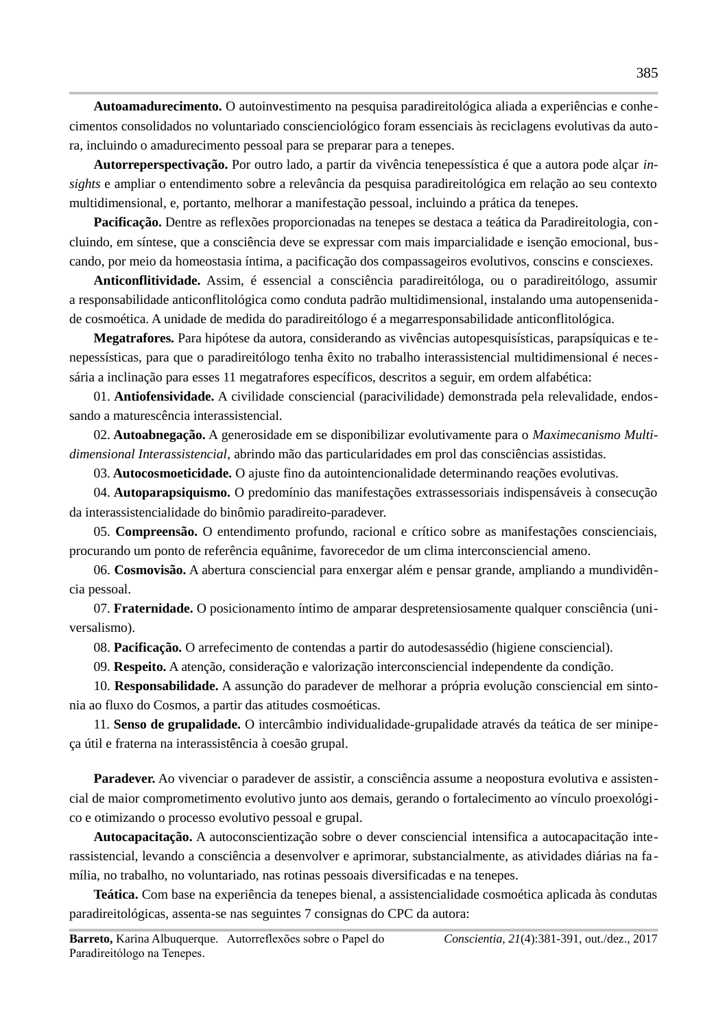Autoamadurecimento. O autoinvestimento na pesquisa paradireitológica aliada a experiências e conhecimentos consolidados no voluntariado conscienciológico foram essenciais às reciclagens evolutivas da autora, incluindo o amadurecimento pessoal para se preparar para a tenepes.

Autorreperspectivação. Por outro lado, a partir da vivência tenepessística é que a autora pode alçar insights e ampliar o entendimento sobre a relevância da pesquisa paradireitológica em relação ao seu contexto multidimensional, e, portanto, melhorar a manifestação pessoal, incluindo a prática da tenepes.

**Pacificação.** Dentre as reflexões proporcionadas na tenepes se destaca a teática da Paradireitologia, concluindo, em síntese, que a consciência deve se expressar com mais imparcialidade e isenção emocional, buscando, por meio da homeostasia íntima, a pacificação dos compassageiros evolutivos, conscins e consciexes.

Anticonflitividade. Assim, é essencial a consciência paradireitóloga, ou o paradireitólogo, assumir a responsabilidade anticonflitológica como conduta padrão multidimensional, instalando uma autopensenidade cosmoética. A unidade de medida do paradireitólogo é a megarresponsabilidade anticonflitológica.

Megatrafores. Para hipótese da autora, considerando as vivências autopesquisísticas, parapsíquicas e tenepessísticas, para que o paradireitólogo tenha êxito no trabalho interassistencial multidimensional é necessária a inclinação para esses 11 megatrafores específicos, descritos a seguir, em ordem alfabética:

01. Antiofensividade. A civilidade consciencial (paracivilidade) demonstrada pela relevalidade, endossando a maturescência interassistencial.

02. Autoabnegação. A generosidade em se disponibilizar evolutivamente para o Maximecanismo Multidimensional Interassistencial, abrindo mão das particularidades em prol das consciências assistidas.

03. Autocosmoeticidade. O ajuste fino da autointencionalidade determinando reações evolutivas.

04. Autoparapsiquismo. O predomínio das manifestações extrassessoriais indispensáveis à consecução da interassistencialidade do binômio paradireito-paradever.

05. Compreensão. O entendimento profundo, racional e crítico sobre as manifestações conscienciais, procurando um ponto de referência equânime, favorecedor de um clima interconsciencial ameno.

06. Cosmovisão. A abertura consciencial para enxergar além e pensar grande, ampliando a mundividência pessoal.

07. Fraternidade. O posicionamento íntimo de amparar despretensiosamente qualquer consciência (universalismo).

08. Pacificação. O arrefecimento de contendas a partir do autodesassédio (higiene consciencial).

09. Respeito. A atenção, consideração e valorização interconsciencial independente da condição.

10. Responsabilidade. A assunção do paradever de melhorar a própria evolução consciencial em sintonia ao fluxo do Cosmos, a partir das atitudes cosmoéticas.

11. Senso de grupalidade. O intercâmbio individualidade-grupalidade através da teática de ser minipeca útil e fraterna na interassistência à coesão grupal.

Paradever. Ao vivenciar o paradever de assistir, a consciência assume a neopostura evolutiva e assistencial de maior comprometimento evolutivo junto aos demais, gerando o fortalecimento ao vínculo proexológico e otimizando o processo evolutivo pessoal e grupal.

Autocapacitação. A autoconscientização sobre o dever consciencial intensifica a autocapacitação interassistencial, levando a consciência a desenvolver e aprimorar, substancialmente, as atividades diárias na família, no trabalho, no voluntariado, nas rotinas pessoais diversificadas e na tenepes.

**Teática.** Com base na experiência da tenepes bienal, a assistencialidade cosmoética aplicada às condutas paradireitológicas, assenta-se nas seguintes 7 consignas do CPC da autora: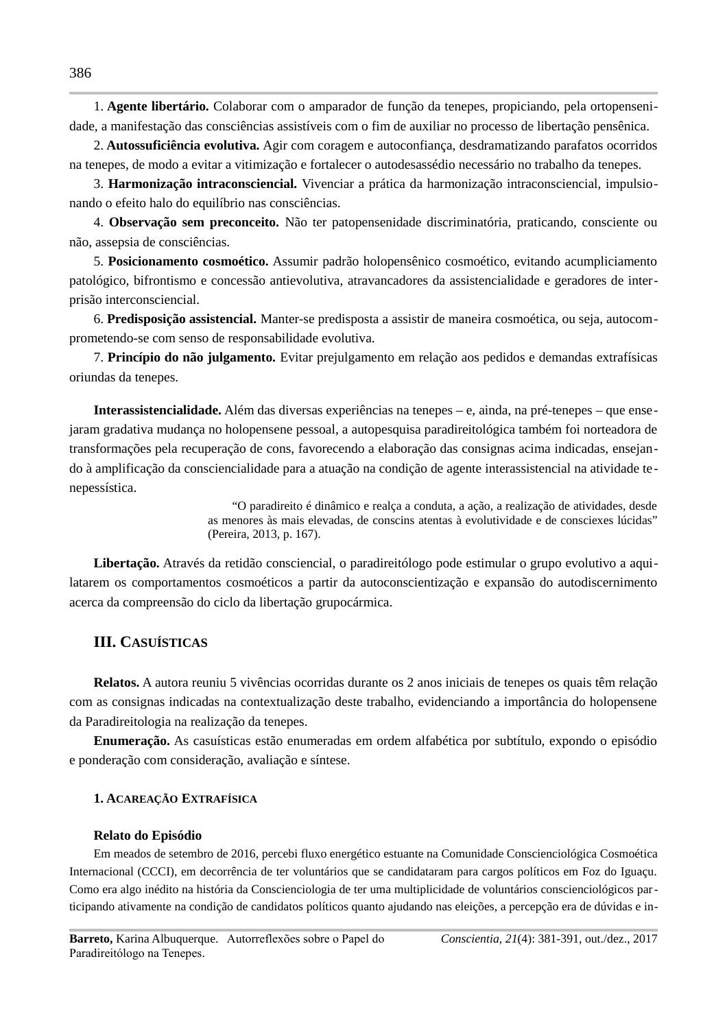1. Agente libertário. Colaborar com o amparador de função da tenepes, propiciando, pela ortopensenidade, a manifestação das consciências assistíveis com o fim de auxiliar no processo de libertação pensênica.

2. Autossuficiência evolutiva. Agir com coragem e autoconfiança, desdramatizando parafatos ocorridos na tenepes, de modo a evitar a vitimização e fortalecer o autodesassédio necessário no trabalho da tenepes.

3. Harmonização intraconsciencial. Vivenciar a prática da harmonização intraconsciencial, impulsionando o efeito halo do equilíbrio nas consciências.

4. Observação sem preconceito. Não ter patopensenidade discriminatória, praticando, consciente ou não, assepsia de consciências.

5. Posicionamento cosmoético. Assumir padrão holopensênico cosmoético, evitando acumpliciamento patológico, bifrontismo e concessão antievolutiva, atravancadores da assistencialidade e geradores de interprisão interconsciencial.

6. Predisposição assistencial. Manter-se predisposta a assistir de maneira cosmoética, ou seja, autocomprometendo-se com senso de responsabilidade evolutiva.

7. Princípio do não julgamento. Evitar prejulgamento em relação aos pedidos e demandas extrafísicas oriundas da tenepes.

**Interassistencialidade.** Além das diversas experiências na tenepes – e, ainda, na pré-tenepes – que ensejaram gradativa mudança no holopensene pessoal, a autopesquisa paradireitológica também foi norteadora de transformações pela recuperação de cons, favorecendo a elaboração das consignas acima indicadas, ensejando à amplificação da consciencialidade para a atuação na condição de agente interassistencial na atividade tenepessística.

> "O paradireito é dinâmico e realça a conduta, a ação, a realização de atividades, desde as menores às mais elevadas, de conscins atentas à evolutividade e de consciexes lúcidas" (Pereira, 2013, p. 167).

Libertação. Através da retidão consciencial, o paradireitólogo pode estimular o grupo evolutivo a aquilatarem os comportamentos cosmoéticos a partir da autoconscientização e expansão do autodiscernimento acerca da compreensão do ciclo da libertação grupocármica.

## **III. CASUÍSTICAS**

Relatos. A autora reuniu 5 vivências ocorridas durante os 2 anos iniciais de tenepes os quais têm relação com as consignas indicadas na contextualização deste trabalho, evidenciando a importância do holopensene da Paradireitologia na realização da tenepes.

Enumeração. As casuísticas estão enumeradas em ordem alfabética por subtítulo, expondo o episódio e ponderação com consideração, avaliação e síntese.

## 1. ACAREAÇÃO EXTRAFÍSICA

#### Relato do Episódio

Em meados de setembro de 2016, percebi fluxo energético estuante na Comunidade Conscienciológica Cosmoética Internacional (CCCI), em decorrência de ter voluntários que se candidataram para cargos políticos em Foz do Iguaçu. Como era algo inédito na história da Conscienciologia de ter uma multiplicidade de voluntários conscienciológicos participando ativamente na condição de candidatos políticos quanto ajudando nas eleições, a percepção era de dúvidas e in-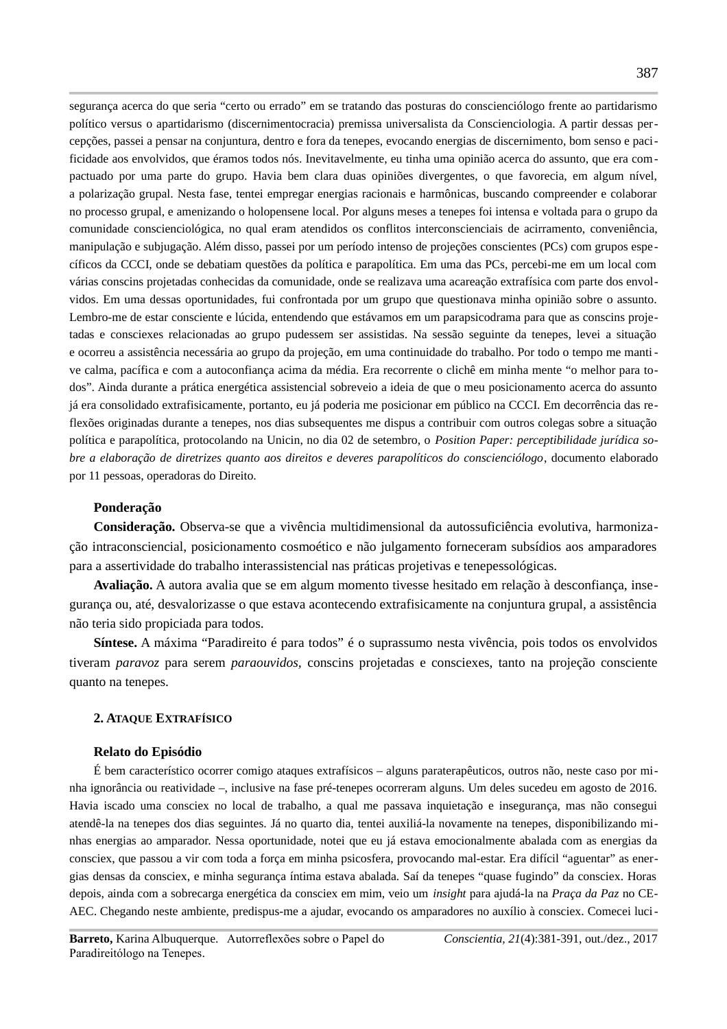seguranca acerca do que seria "certo ou errado" em se tratando das posturas do conscienciólogo frente ao partidarismo político versus o apartidarismo (discernimentocracia) premissa universalista da Conscienciologia. A partir dessas percepções, passei a pensar na conjuntura, dentro e fora da tenepes, evocando energias de discernimento, bom senso e pacificidade aos envolvidos, que éramos todos nós. Inevitavelmente, eu tinha uma opinião acerca do assunto, que era compactuado por uma parte do grupo. Havia bem clara duas opiniões divergentes, o que favorecia, em algum nível, a polarização grupal. Nesta fase, tentei empregar energias racionais e harmônicas, buscando compreender e colaborar no processo grupal, e amenizando o holopensene local. Por alguns meses a tenepes foi intensa e voltada para o grupo da comunidade conscienciológica, no qual eram atendidos os conflitos interconscienciais de acirramento, conveniência, manipulação e subjugação. Além disso, passei por um período intenso de projeções conscientes (PCs) com grupos específicos da CCCI, onde se debatiam questões da política e parapolítica. Em uma das PCs, percebi-me em um local com várias conscins projetadas conhecidas da comunidade, onde se realizava uma acareação extrafísica com parte dos envolvidos. Em uma dessas oportunidades, fui confrontada por um grupo que questionava minha opinião sobre o assunto. Lembro-me de estar consciente e lúcida, entendendo que estávamos em um parapsicodrama para que as conscins projetadas e consciexes relacionadas ao grupo pudessem ser assistidas. Na sessão seguinte da tenepes, levei a situação e ocorreu a assistência necessária ao grupo da projeção, em uma continuidade do trabalho. Por todo o tempo me mantive calma, pacífica e com a autoconfianca acima da média. Era recorrente o clichê em minha mente "o melhor para todos". Ainda durante a prática energética assistencial sobreveio a ideia de que o meu posicionamento acerca do assunto já era consolidado extrafisicamente, portanto, eu já poderia me posicionar em público na CCCI. Em decorrência das reflexões originadas durante a tenepes, nos dias subsequentes me dispus a contribuir com outros colegas sobre a situação política e parapolítica, protocolando na Unicin, no dia 02 de setembro, o Position Paper: perceptibilidade jurídica sobre a elaboração de diretrizes quanto aos direitos e deveres parapolíticos do conscienciólogo, documento elaborado por 11 pessoas, operadoras do Direito.

#### Ponderação

Consideração. Observa-se que a vivência multidimensional da autossuficiência evolutiva, harmonização intraconsciencial, posicionamento cosmoético e não julgamento forneceram subsídios aos amparadores para a assertividade do trabalho interassistencial nas práticas projetivas e tenepessológicas.

Avaliação. A autora avalia que se em algum momento tivesse hesitado em relação à desconfiança, insegurança ou, até, desvalorizasse o que estava acontecendo extrafisicamente na conjuntura grupal, a assistência não teria sido propiciada para todos.

Síntese. A máxima "Paradireito é para todos" é o suprassumo nesta vivência, pois todos os envolvidos tiveram paravoz para serem paraouvidos, conscins projetadas e consciexes, tanto na projeção consciente quanto na tenepes.

#### 2. ATAQUE EXTRAFÍSICO

#### Relato do Episódio

É bem característico ocorrer comigo ataques extrafísicos – alguns paraterapêuticos, outros não, neste caso por minha ignorância ou reatividade –, inclusive na fase pré-tenepes ocorreram alguns. Um deles sucedeu em agosto de 2016. Havia iscado uma consciex no local de trabalho, a qual me passava inquietação e insegurança, mas não consegui atendê-la na tenepes dos dias seguintes. Já no quarto dia, tentei auxiliá-la novamente na tenepes, disponibilizando minhas energias ao amparador. Nessa oportunidade, notei que eu já estava emocionalmente abalada com as energias da consciex, que passou a vir com toda a força em minha psicosfera, provocando mal-estar. Era difícil "aguentar" as energias densas da consciex, e minha segurança íntima estava abalada. Saí da tenepes "quase fugindo" da consciex. Horas depois, ainda com a sobrecarga energética da consciex em mim, veio um *insight* para ajudá-la na Praça da Paz no CE-AEC. Chegando neste ambiente, predispus-me a ajudar, evocando os amparadores no auxílio à consciex. Comecei luci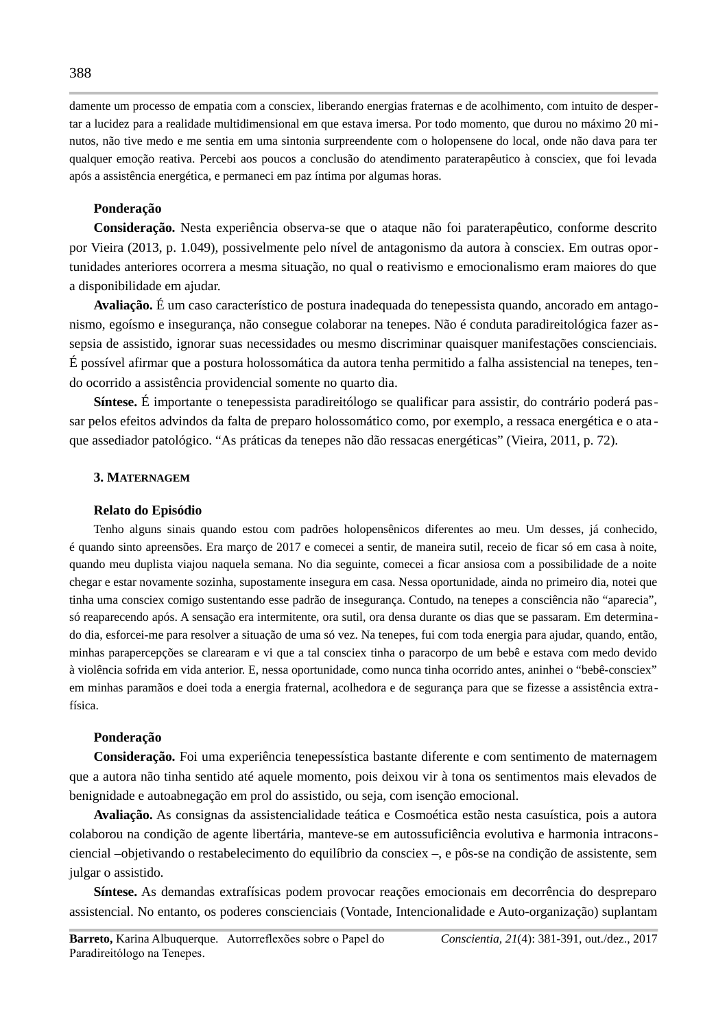damente um processo de empatia com a consciex, liberando energias fraternas e de acolhimento, com intuito de despertar a lucidez para a realidade multidimensional em que estava imersa. Por todo momento, que durou no máximo 20 minutos, não tive medo e me sentia em uma sintonia surpreendente com o holopensene do local, onde não dava para ter qualquer emoção reativa. Percebi aos poucos a conclusão do atendimento paraterapêutico à consciex, que foi levada após a assistência energética, e permaneci em paz íntima por algumas horas.

## Ponderação

Consideração. Nesta experiência observa-se que o ataque não foi paraterapêutico, conforme descrito por Vieira (2013, p. 1.049), possivelmente pelo nível de antagonismo da autora à consciex. Em outras oportunidades anteriores ocorrera a mesma situação, no qual o reativismo e emocionalismo eram maiores do que a disponibilidade em ajudar.

**Avaliação.** É um caso característico de postura inadeguada do tenepessista guando, ancorado em antagonismo, egoísmo e insegurança, não consegue colaborar na tenepes. Não é conduta paradireitológica fazer assepsia de assistido, ignorar suas necessidades ou mesmo discriminar quaisquer manifestações conscienciais. É possível afirmar que a postura holossomática da autora tenha permitido a falha assistencial na tenepes, tendo ocorrido a assistência providencial somente no quarto dia.

Síntese. É importante o tenepessista paradireitólogo se qualificar para assistir, do contrário poderá passar pelos efeitos advindos da falta de preparo holossomático como, por exemplo, a ressaca energética e o ataque assediador patológico. "As práticas da tenepes não dão ressacas energéticas" (Vieira, 2011, p. 72).

#### 3. MATERNAGEM

#### Relato do Episódio

Tenho alguns sinais quando estou com padrões holopensênicos diferentes ao meu. Um desses, já conhecido, é quando sinto apreensões. Era março de 2017 e comecei a sentir, de maneira sutil, receio de ficar só em casa à noite, quando meu duplista viajou naquela semana. No dia seguinte, comecei a ficar ansiosa com a possibilidade de a noite chegar e estar novamente sozinha, supostamente insegura em casa. Nessa oportunidade, ainda no primeiro dia, notei que tinha uma consciex comigo sustentando esse padrão de insegurança. Contudo, na tenepes a consciência não "aparecia", só reaparecendo após. A sensação era intermitente, ora sutil, ora densa durante os dias que se passaram. Em determinado dia, esforcei-me para resolver a situação de uma só vez. Na tenepes, fui com toda energia para ajudar, quando, então, minhas parapercepções se clarearam e vi que a tal consciex tinha o paracorpo de um bebê e estava com medo devido à violência sofrida em vida anterior. E, nessa oportunidade, como nunca tinha ocorrido antes, aninhei o "bebê-consciex" em minhas paramãos e doei toda a energia fraternal, acolhedora e de segurança para que se fizesse a assistência extrafísica.

## Ponderação

Consideração. Foi uma experiência tenepessística bastante diferente e com sentimento de maternagem que a autora não tinha sentido até aquele momento, pois deixou vir à tona os sentimentos mais elevados de benignidade e autoabnegação em prol do assistido, ou seja, com isenção emocional.

Avaliação. As consignas da assistencialidade teática e Cosmoética estão nesta casuística, pois a autora colaborou na condição de agente libertária, manteve-se em autossuficiência evolutiva e harmonia intraconsciencial -objetivando o restabelecimento do equilíbrio da consciex -, e pôs-se na condição de assistente, sem julgar o assistido.

Síntese. As demandas extrafísicas podem provocar reações emocionais em decorrência do despreparo assistencial. No entanto, os poderes conscienciais (Vontade, Intencionalidade e Auto-organização) suplantam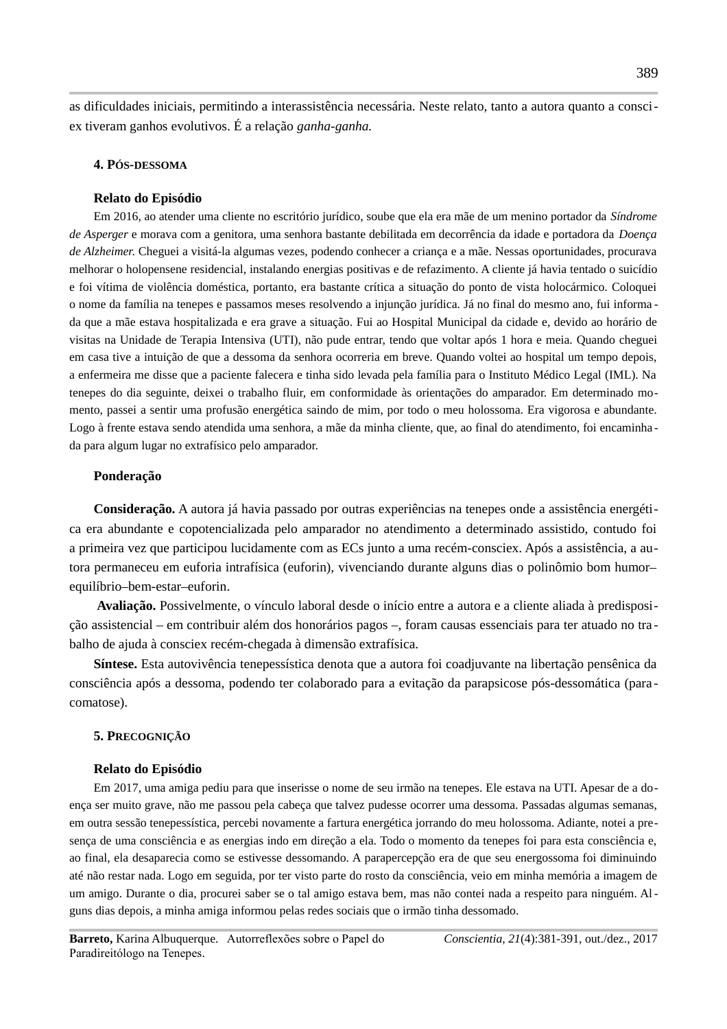as dificuldades iniciais, permitindo a interassistência necessária. Neste relato, tanto a autora quanto a consciex tiveram ganhos evolutivos. É a relação ganha-ganha.

#### 4. PÓS-DESSOMA

#### Relato do Episódio

Em 2016, ao atender uma cliente no escritório jurídico, soube que ela era mãe de um menino portador da Síndrome de Asperger e morava com a genitora, uma senhora bastante debilitada em decorrência da idade e portadora da Doença de Alzheimer. Cheguei a visitá-la algumas vezes, podendo conhecer a criança e a mãe. Nessas oportunidades, procurava melhorar o holopensene residencial, instalando energias positivas e de refazimento. A cliente já havia tentado o suicídio e foi vítima de violência doméstica, portanto, era bastante crítica a situação do ponto de vista holocármico. Coloquei o nome da família na tenepes e passamos meses resolvendo a injunção jurídica. Já no final do mesmo ano, fui informa da que a mãe estava hospitalizada e era grave a situação. Fui ao Hospital Municipal da cidade e, devido ao horário de visitas na Unidade de Terapia Intensiva (UTI), não pude entrar, tendo que voltar após 1 hora e meia. Quando cheguei em casa tive a intuição de que a dessoma da senhora ocorreria em breve. Quando voltei ao hospital um tempo depois, a enfermeira me disse que a paciente falecera e tinha sido levada pela família para o Instituto Médico Legal (IML). Na tenepes do dia seguinte, deixei o trabalho fluir, em conformidade às orientações do amparador. Em determinado momento, passei a sentir uma profusão energética saindo de mim, por todo o meu holossoma. Era vigorosa e abundante. Logo à frente estava sendo atendida uma senhora, a mãe da minha cliente, que, ao final do atendimento, foi encaminhada para algum lugar no extrafísico pelo amparador.

#### Ponderação

Consideração. A autora já havia passado por outras experiências na tenepes onde a assistência energética era abundante e copotencializada pelo amparador no atendimento a determinado assistido, contudo foi a primeira vez que participou lucidamente com as ECs junto a uma recém-consciex. Após a assistência, a autora permaneceu em euforia intrafísica (euforin), vivenciando durante alguns dias o polinômio bom humorequilíbrio-bem-estar-euforin.

Avaliação. Possivelmente, o vínculo laboral desde o início entre a autora e a cliente aliada à predisposição assistencial – em contribuir além dos honorários pagos –, foram causas essenciais para ter atuado no trabalho de ajuda à consciex recém-chegada à dimensão extrafísica.

Síntese. Esta autovivência tenepessística denota que a autora foi coadjuvante na libertação pensênica da consciência após a dessoma, podendo ter colaborado para a evitação da parapsicose pós-dessomática (paracomatose).

## 5. PRECOGNIÇÃO

#### Relato do Episódio

Em 2017, uma amiga pediu para que inserisse o nome de seu irmão na tenepes. Ele estava na UTI. Apesar de a doença ser muito grave, não me passou pela cabeça que talvez pudesse ocorrer uma dessoma. Passadas algumas semanas, em outra sessão tenepessística, percebi novamente a fartura energética jorrando do meu holossoma. Adiante, notei a presenca de uma consciência e as energias indo em direção a ela. Todo o momento da tenepes foi para esta consciência e, ao final, ela desaparecia como se estivesse dessomando. A parapercepção era de que seu energossoma foi diminuindo até não restar nada. Logo em seguida, por ter visto parte do rosto da consciência, veio em minha memória a imagem de um amigo. Durante o dia, procurei saber se o tal amigo estava bem, mas não contei nada a respeito para ninguém. Alguns dias depois, a minha amiga informou pelas redes sociais que o irmão tinha dessomado.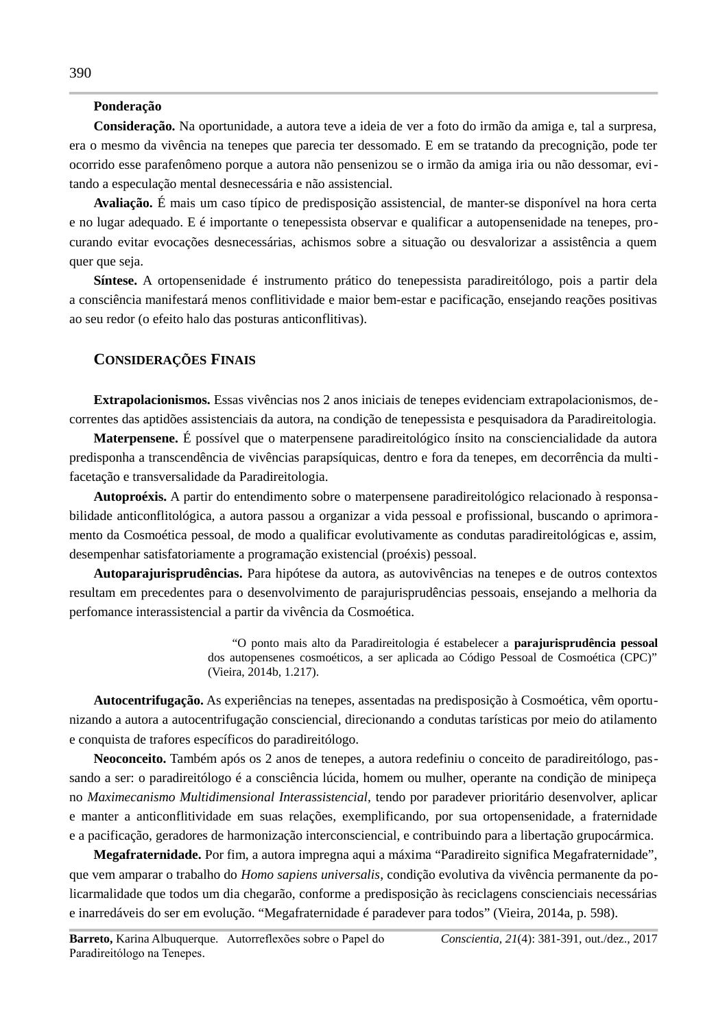# Ponderação

Consideração. Na oportunidade, a autora teve a ideia de ver a foto do irmão da amiga e, tal a surpresa, era o mesmo da vivência na tenepes que parecia ter dessomado. E em se tratando da precognição, pode ter ocorrido esse parafenômeno porque a autora não pensenizou se o irmão da amiga iria ou não dessomar, evitando a especulação mental desnecessária e não assistencial.

Avaliação. É mais um caso típico de predisposição assistencial, de manter-se disponível na hora certa e no lugar adequado. E é importante o tenepessista observar e qualificar a autopensenidade na tenepes, procurando evitar evocações desnecessárias, achismos sobre a situação ou desvalorizar a assistência a quem quer que seja.

Síntese. A ortopensenidade é instrumento prático do tenepessista paradireitólogo, pois a partir dela a consciência manifestará menos conflitividade e maior bem-estar e pacificação, ensejando reações positivas ao seu redor (o efeito halo das posturas anticonflitivas).

### **CONSIDERAÇÕES FINAIS**

Extrapolacionismos. Essas vivências nos 2 anos iniciais de tenepes evidenciam extrapolacionismos, decorrentes das aptidões assistenciais da autora, na condição de tenepessista e pesquisadora da Paradireitologia.

**Materpensene.** É possível que o materpensene paradireitológico ínsito na consciencialidade da autora predisponha a transcendência de vivências parapsíquicas, dentro e fora da tenepes, em decorrência da multifacetação e transversalidade da Paradireitologia.

Autoproéxis. A partir do entendimento sobre o materpensene paradireitológico relacionado à responsabilidade anticonflitológica, a autora passou a organizar a vida pessoal e profissional, buscando o aprimoramento da Cosmoética pessoal, de modo a qualificar evolutivamente as condutas paradireitológicas e, assim, desempenhar satisfatoriamente a programação existencial (proéxis) pessoal.

Autoparajurisprudências. Para hipótese da autora, as autovivências na tenepes e de outros contextos resultam em precedentes para o desenvolvimento de parajurisprudências pessoais, ensejando a melhoria da perfomance interassistencial a partir da vivência da Cosmoética.

> "O ponto mais alto da Paradireitologia é estabelecer a parajurisprudência pessoal dos autopensenes cosmoéticos, a ser aplicada ao Código Pessoal de Cosmoética (CPC)" (Vieira, 2014b, 1.217).

Autocentrifugação. As experiências na tenepes, assentadas na predisposição à Cosmoética, vêm oportunizando a autora a autocentrifugação consciencial, direcionando a condutas tarísticas por meio do atilamento e conquista de trafores específicos do paradireitólogo.

Neoconceito. Também após os 2 anos de tenepes, a autora redefiniu o conceito de paradireitólogo, passando a ser: o paradireitólogo é a consciência lúcida, homem ou mulher, operante na condição de minipeça no Maximecanismo Multidimensional Interassistencial, tendo por paradever prioritário desenvolver, aplicar e manter a anticonflitividade em suas relações, exemplificando, por sua ortopensenidade, a fraternidade e a pacificação, geradores de harmonização interconsciencial, e contribuindo para a libertação grupocármica.

Megafraternidade. Por fim, a autora impregna aqui a máxima "Paradireito significa Megafraternidade", que vem amparar o trabalho do Homo sapiens universalis, condição evolutiva da vivência permanente da policarmalidade que todos um dia chegarão, conforme a predisposição às reciclagens conscienciais necessárias e inarredáveis do ser em evolução. "Megafraternidade é paradever para todos" (Vieira, 2014a, p. 598).